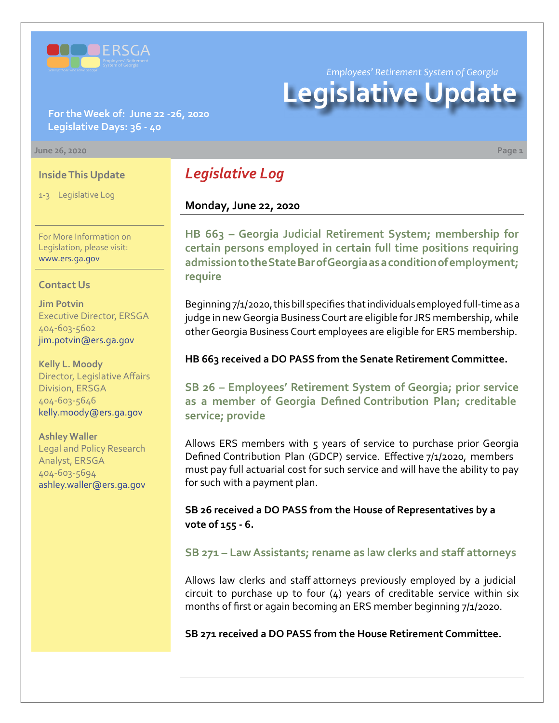

**For the Week of: June 22 -26, 2020 Legislative Days: 36 - 40**

#### **June 26, 2020 Page 1**

## **Inside This Update**

1-3 Legislative Log

For More Information on Legislation, please visit: [www.ers.ga.gov](http://www.ers.ga.gov/default.aspx)

### **Contact Us**

**Jim Potvin** Executive Director, ERSGA 404-603-5602 jim.potvin@ers.ga.gov

**Kelly L. Moody** Director, Legislative Affairs Division, ERSGA 404-603-5646 kelly.moody@ers.ga.gov

**Ashley Waller** Legal and Policy Research Analyst, ERSGA 404-603-5694 ashley.waller@ers.ga.gov *Legislative Log*

## **Monday, June 22, 2020**

**[HB](http://www.legis.ga.gov/Legislation/en-US/display/20192020/HB/663) 663 – [Georgia Judicial Retirement System; membership for](http://www.legis.ga.gov/Legislation/en-US/display/20192020/HB/663) certain persons employed in certain full time positions requiring admission to the State Bar of Georgia as a condition of employment; require**

Beginning 7/1/2020, this bill specifies that individuals employed full-time as a judge in new Georgia Business Court are eligible for JRS membership, while other Georgia Business Court employees are eligible for ERS membership.

## **HB 663 received a DO PASS from the Senate Retirement Committee.**

**[SB](http://www.legis.ga.gov/Legislation/en-US/display/20192020/SB/26) 26 [– Employees' Retirement System of Georgia; prior service](http://www.legis.ga.gov/Legislation/en-US/display/20192020/SB/26) as a member of Georgia Defined Contribution Plan; creditable service; provide**

Allows ERS members with 5 years of service to purchase prior Georgia Defined Contribution Plan (GDCP) service. Effective 7/1/2020, members must pay full actuarial cost for such service and will have the ability to pay for such with a payment plan.

**SB 26 received a DO PASS from the House of Representatives by a vote of 155 - 6.**

## **[SB](http://www.legis.ga.gov/Legislation/en-US/display/20192020/SB/271) 271 [– Law Assistants; rename as law clerks and staff attorneys](http://www.legis.ga.gov/Legislation/en-US/display/20192020/SB/271)**

Allows law clerks and staff attorneys previously employed by a judicial circuit to purchase up to four  $(4)$  years of creditable service within six months of first or again becoming an ERS member beginning 7/1/2020.

**SB 271 received a DO PASS from the House Retirement Committee.**

*Employees' Retirement System of Georgia*

# **Legislative Update**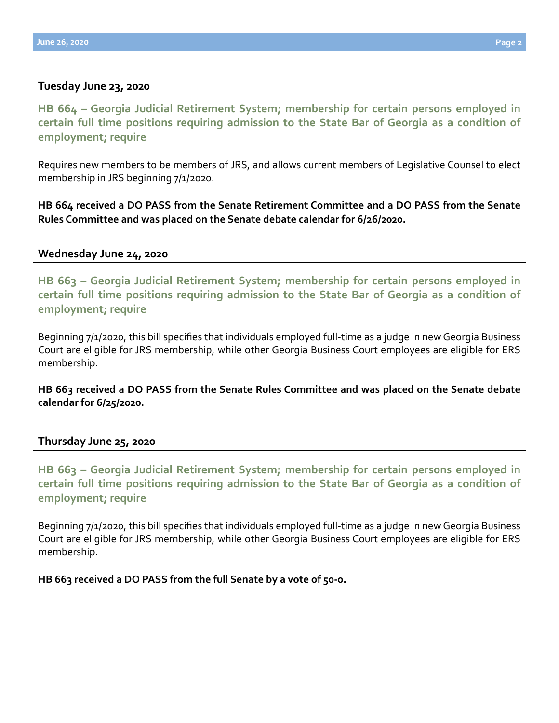### **Tuesday June 23, 2020**

**[HB](http://www.legis.ga.gov/Legislation/en-US/display/20192020/HB/664) 664 [– Georgia Judicial Retirement System; membership for certain persons employed in](http://www.legis.ga.gov/Legislation/en-US/display/20192020/HB/664) certain full time positions requiring admission to the State Bar of Georgia as a condition of employment; require**

Requires new members to be members of JRS, and allows current members of Legislative Counsel to elect membership in JRS beginning 7/1/2020.

**HB 664 received a DO PASS from the Senate Retirement Committee and a DO PASS from the Senate Rules Committee and was placed on the Senate debate calendar for 6/26/2020.**

### **Wednesday June 24, 2020**

**[HB](http://www.legis.ga.gov/Legislation/en-US/display/20192020/HB/663) 663 – [Georgia Judicial Retirement System; membership for certain persons employed in](http://www.legis.ga.gov/Legislation/en-US/display/20192020/HB/663) certain full time positions requiring admission to the State Bar of Georgia as a condition of employment; require**

Beginning 7/1/2020, this bill specifies that individuals employed full-time as a judge in new Georgia Business Court are eligible for JRS membership, while other Georgia Business Court employees are eligible for ERS membership.

**HB 663 received a DO PASS from the Senate Rules Committee and was placed on the Senate debate calendar for 6/25/2020.**

### **Thursday June 25, 2020**

**[HB](http://www.legis.ga.gov/Legislation/en-US/display/20192020/HB/663) 663 – [Georgia Judicial Retirement System; membership for certain persons employed in](http://www.legis.ga.gov/Legislation/en-US/display/20192020/HB/663) certain full time positions requiring admission to the State Bar of Georgia as a condition of employment; require**

Beginning 7/1/2020, this bill specifies that individuals employed full-time as a judge in new Georgia Business Court are eligible for JRS membership, while other Georgia Business Court employees are eligible for ERS membership.

**HB 663 received a DO PASS from the full Senate by a vote of 50-0.**